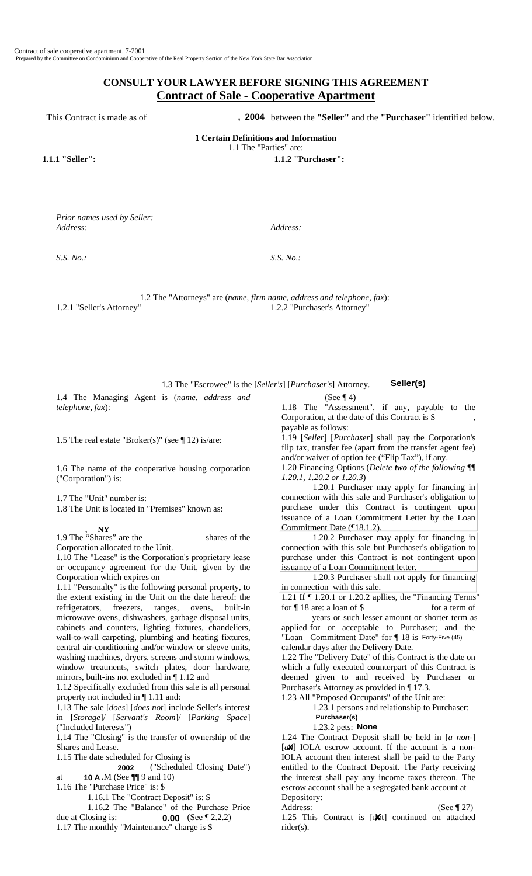# **CONSULT YOUR LAWYER BEFORE SIGNING THIS AGREEMENT Contract of Sale - Cooperative Apartment**

This Contract is made as of **2004** between the "Seller" and the "Purchaser" identified below.

**1 Certain Definitions and Information** 

1.1 The "Parties" are:

**1.1.1 "Seller": 1.1.2 "Purchaser":** 

*Prior names used by Seller: Address: Address:*

*S.S. No.: S.S. No.:*

1.2 The "Attorneys" are (*name, firm name, address and telephone, fax*): 1.2.1 "Seller's Attorney" 1.2.2 "Purchaser's Attorney"

1.3 The "Escrowee" is the [*Seller's*] [*Purchaser's*] Attorney. 1.4 The Managing Agent is (*name, address and*

1.5 The real estate "Broker(s)" (see  $\P$  12) is/are:

1.6 The name of the cooperative housing corporation ("Corporation") is:

1.7 The "Unit" number is:

*telephone, fax*):

1.8 The Unit is located in "Premises" known as:

**NY**

1.9 The "Shares" are the shares of the Corporation allocated to the Unit.

1.10 The "Lease" is the Corporation's proprietary lease or occupancy agreement for the Unit, given by the Corporation which expires on

1.11 "Personalty" is the following personal property, to the extent existing in the Unit on the date hereof: the refrigerators, freezers, ranges, ovens, built-in microwave ovens, dishwashers, garbage disposal units, cabinets and counters, lighting fixtures, chandeliers, wall-to-wall carpeting, plumbing and heating fixtures, central air-conditioning and/or window or sleeve units, washing machines, dryers, screens and storm windows, window treatments, switch plates, door hardware, mirrors, built-ins not excluded in ¶ 1.12 and **2003**<br> **2003 Example 12 The "Attorneys" are** *(none, form name, address and telephone, fox):***<br>
<b>2003 2003 2003 2003 2003 2003 2003 2003 2003 2003 2003 2003 2003 2003 2003 2003 2003 2003 Excite and e sol <b>. 2004 . 2004 Controller Controller Controller Controller (45) <b>Controller Controller Controller Controller Controller (45) <b>Controller Controller Controller Controller Controller (45) <b>10**  $\frac{$ 

1.12 Specifically excluded from this sale is all personal property not included in ¶ 1.11 and:

1.13 The sale [*does*] [*does not*] include Seller's interest in [*Storage*]/ [*Servant's Room*]/ [*Parking Space*] ("Included Interests")

1.14 The "Closing" is the transfer of ownership of the Shares and Lease.

1.15 The date scheduled for Closing is

 ("Scheduled Closing Date") at  $10 \text{ A}$ . M (See ¶¶ 9 and 10)

1.16 The "Purchase Price" is: \$

1.16.1 The "Contract Deposit" is: \$

1.16.2 The "Balance" of the Purchase Price due at Closing is:  $0.00$  (See ¶ 2.2.2)

1.17 The monthly "Maintenance" charge is \$

(See  $\P$  4)

1.18 The "Assessment", if any, payable to the Corporation, at the date of this Contract is \$ payable as follows:

1.19 [*Seller*] [*Purchaser*] shall pay the Corporation's flip tax, transfer fee (apart from the transfer agent fee) and/or waiver of option fee ("Flip Tax"), if any.

1.20 Financing Options (*Delete two of the following* ¶¶ *1.20.1, 1.20.2 or 1.20.3*)

1.20.1 Purchaser may apply for financing in connection with this sale and Purchaser's obligation to purchase under this Contract is contingent upon issuance of a Loan Commitment Letter by the Loan Commitment Date (¶18.1.2).

1.20.2 Purchaser may apply for financing in connection with this sale but Purchaser's obligation to purchase under this Contract is not contingent upon issuance of a Loan Commitment letter.

 1.20.3 Purchaser shall not apply for financing in connection with this sale.

1.21 If ¶ 1.20.1 or 1.20.2 apllies, the "Financing Terms" for  $\P$  18 are: a loan of \$ for a term of

 years or such lesser amount or shorter term as applied for or acceptable to Purchaser; and the "Loan Commitment Date" for ¶ 18 is Forty-Five (45) calendar days after the Delivery Date.

1.22 The "Delivery Date" of this Contract is the date on which a fully executed counterpart of this Contract is deemed given to and received by Purchaser or Purchaser's Attorney as provided in ¶ 17.3.

1.23 All "Proposed Occupants" of the Unit are:

1.23.1 persons and relationship to Purchaser:

1.23.2 pets: **None** 

1.24 The Contract Deposit shall be held in [*a non*-] [ $a$  $\mathbb{A}$ ] IOLA escrow account. If the account is a non-IOLA account then interest shall be paid to the Party entitled to the Contract Deposit. The Party receiving the interest shall pay any income taxes thereon. The escrow account shall be a segregated bank account at Depository:

Address: (See ¶ 27)

1.25 This Contract is [ $\phi$ t] continued on attached rider(s).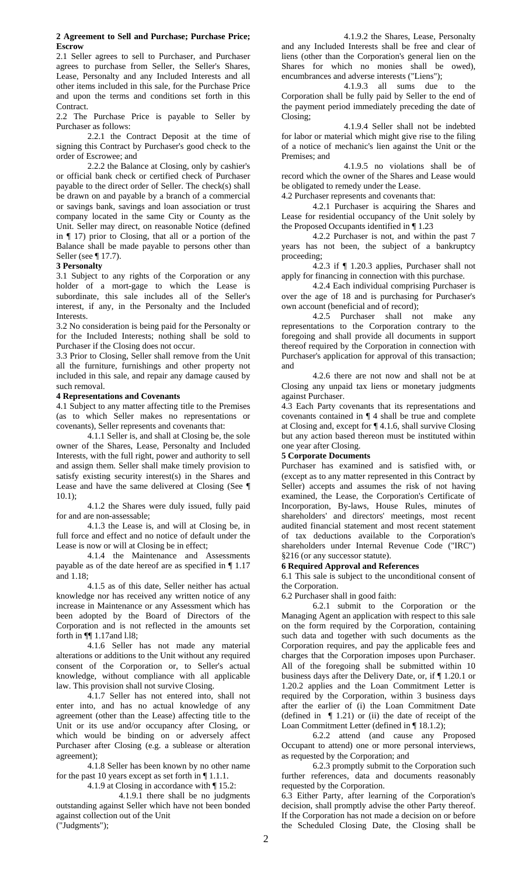#### **2 Agreement to Sell and Purchase; Purchase Price; Escrow**

2.1 Seller agrees to sell to Purchaser, and Purchaser agrees to purchase from Seller, the Seller's Shares, Lease, Personalty and any Included Interests and all other items included in this sale, for the Purchase Price and upon the terms and conditions set forth in this Contract.

2.2 The Purchase Price is payable to Seller by Purchaser as follows:

2.2.1 the Contract Deposit at the time of signing this Contract by Purchaser's good check to the order of Escrowee; and

2.2.2 the Balance at Closing, only by cashier's or official bank check or certified check of Purchaser payable to the direct order of Seller. The check(s) shall be drawn on and payable by a branch of a commercial or savings bank, savings and loan association or trust company located in the same City or County as the Unit. Seller may direct, on reasonable Notice (defined in ¶ 17) prior to Closing, that all or a portion of the Balance shall be made payable to persons other than Seller (see ¶ 17.7).

### **3 Personalty**

3.1 Subject to any rights of the Corporation or any holder of a mort-gage to which the Lease is subordinate, this sale includes all of the Seller's interest, if any, in the Personalty and the Included Interests.

3.2 No consideration is being paid for the Personalty or for the Included Interests; nothing shall be sold to Purchaser if the Closing does not occur.

3.3 Prior to Closing, Seller shall remove from the Unit all the furniture, furnishings and other property not included in this sale, and repair any damage caused by such removal.

### **4 Representations and Covenants**

4.1 Subject to any matter affecting title to the Premises (as to which Seller makes no representations or covenants), Seller represents and covenants that:

4.1.1 Seller is, and shall at Closing be, the sole owner of the Shares, Lease, Personalty and Included Interests, with the full right, power and authority to sell and assign them. Seller shall make timely provision to satisfy existing security interest(s) in the Shares and Lease and have the same delivered at Closing (See ¶ 10.1);

4.1.2 the Shares were duly issued, fully paid for and are non-assessable;

4.1.3 the Lease is, and will at Closing be, in full force and effect and no notice of default under the Lease is now or will at Closing be in effect;

4.1.4 the Maintenance and Assessments payable as of the date hereof are as specified in ¶ 1.17 and 1.18;

4.1.5 as of this date, Seller neither has actual knowledge nor has received any written notice of any increase in Maintenance or any Assessment which has been adopted by the Board of Directors of the Corporation and is not reflected in the amounts set forth in ¶¶ 1.17and l.l8;

4.1.6 Seller has not made any material alterations or additions to the Unit without any required consent of the Corporation or, to Seller's actual knowledge, without compliance with all applicable law. This provision shall not survive Closing.

4.1.7 Seller has not entered into, shall not enter into, and has no actual knowledge of any agreement (other than the Lease) affecting title to the Unit or its use and/or occupancy after Closing, or which would be binding on or adversely affect Purchaser after Closing (e.g. a sublease or alteration agreement);

4.1.8 Seller has been known by no other name for the past 10 years except as set forth in ¶ 1.1.1.

4.1.9 at Closing in accordance with ¶ 15.2:

4.1.9.1 there shall be no judgments outstanding against Seller which have not been bonded against collection out of the Unit ("Judgments");

4.1.9.2 the Shares, Lease, Personalty and any Included Interests shall be free and clear of liens (other than the Corporation's general lien on the Shares for which no monies shall be owed), encumbrances and adverse interests ("Liens");

4.1.9.3 all sums due to the Corporation shall be fully paid by Seller to the end of the payment period immediately preceding the date of Closing;

4.1.9.4 Seller shall not be indebted for labor or material which might give rise to the filing of a notice of mechanic's lien against the Unit or the Premises; and

4.1.9.5 no violations shall be of record which the owner of the Shares and Lease would be obligated to remedy under the Lease.

4.2 Purchaser represents and covenants that:

4.2.1 Purchaser is acquiring the Shares and Lease for residential occupancy of the Unit solely by the Proposed Occupants identified in ¶ 1.23

4.2.2 Purchaser is not, and within the past 7 years has not been, the subject of a bankruptcy proceeding;

4.2.3 if ¶ 1.20.3 applies, Purchaser shall not apply for financing in connection with this purchase.

4.2.4 Each individual comprising Purchaser is over the age of 18 and is purchasing for Purchaser's own account (beneficial and of record);

4.2.5 Purchaser shall not make any representations to the Corporation contrary to the foregoing and shall provide all documents in support thereof required by the Corporation in connection with Purchaser's application for approval of this transaction; and

4.2.6 there are not now and shall not be at Closing any unpaid tax liens or monetary judgments against Purchaser.

4.3 Each Party covenants that its representations and covenants contained in ¶ 4 shall be true and complete at Closing and, except for ¶ 4.1.6, shall survive Closing but any action based thereon must be instituted within one year after Closing.

### **5 Corporate Documents**

Purchaser has examined and is satisfied with, or (except as to any matter represented in this Contract by Seller) accepts and assumes the risk of not having examined, the Lease, the Corporation's Certificate of Incorporation, By-laws, House Rules, minutes of shareholders' and directors' meetings, most recent audited financial statement and most recent statement of tax deductions available to the Corporation's shareholders under Internal Revenue Code ("IRC") §216 (or any successor statute).

# **6 Required Approval and References**

6.1 This sale is subject to the unconditional consent of the Corporation.

6.2 Purchaser shall in good faith:

6.2.1 submit to the Corporation or the Managing Agent an application with respect to this sale on the form required by the Corporation, containing such data and together with such documents as the Corporation requires, and pay the applicable fees and charges that the Corporation imposes upon Purchaser. All of the foregoing shall be submitted within 10 business days after the Delivery Date, or, if ¶ 1.20.1 or 1.20.2 applies and the Loan Commitment Letter is required by the Corporation, within 3 business days after the earlier of (i) the Loan Commitment Date (defined in  $\P$  1.21) or (ii) the date of receipt of the Loan Commitment Letter (defined in ¶ 18.1.2);

6.2.2 attend (and cause any Proposed Occupant to attend) one or more personal interviews, as requested by the Corporation; and

6.2.3 promptly submit to the Corporation such further references, data and documents reasonably requested by the Corporation.

6.3 Either Party, after learning of the Corporation's decision, shall promptly advise the other Party thereof. If the Corporation has not made a decision on or before the Scheduled Closing Date, the Closing shall be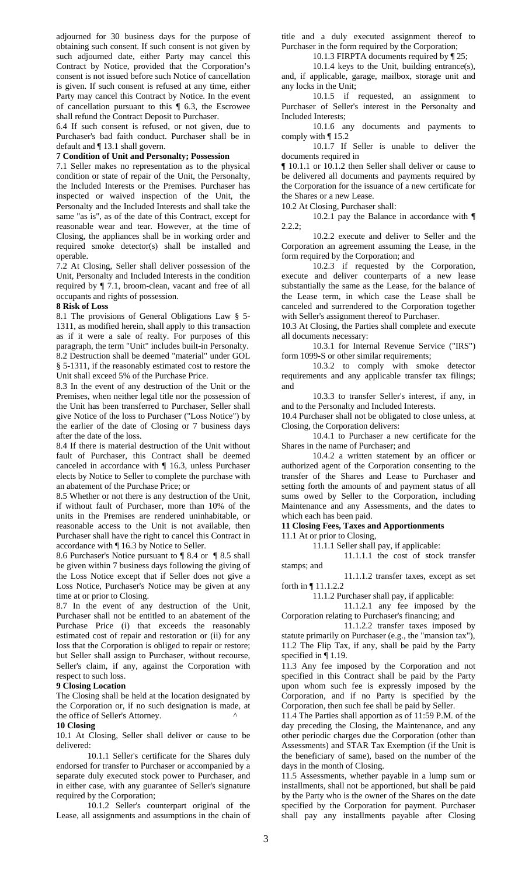adjourned for 30 business days for the purpose of obtaining such consent. If such consent is not given by such adjourned date, either Party may cancel this Contract by Notice, provided that the Corporation's consent is not issued before such Notice of cancellation is given. If such consent is refused at any time, either Party may cancel this Contract by Notice. In the event of cancellation pursuant to this ¶ 6.3, the Escrowee shall refund the Contract Deposit to Purchaser.

6.4 If such consent is refused, or not given, due to Purchaser's bad faith conduct. Purchaser shall be in default and ¶ 13.1 shall govern.

#### **7 Condition of Unit and Personalty; Possession**

7.1 Seller makes no representation as to the physical condition or state of repair of the Unit, the Personalty, the Included Interests or the Premises. Purchaser has inspected or waived inspection of the Unit, the Personalty and the Included Interests and shall take the same "as is", as of the date of this Contract, except for reasonable wear and tear. However, at the time of Closing, the appliances shall be in working order and required smoke detector(s) shall be installed and operable.

7.2 At Closing, Seller shall deliver possession of the Unit, Personalty and Included Interests in the condition required by ¶ 7.1, broom-clean, vacant and free of all occupants and rights of possession.

# **8 Risk of Loss**

8.1 The provisions of General Obligations Law § 5- 1311, as modified herein, shall apply to this transaction as if it were a sale of realty. For purposes of this paragraph, the term "Unit" includes built-in Personalty. 8.2 Destruction shall be deemed "material" under GOL § 5-1311, if the reasonably estimated cost to restore the Unit shall exceed 5% of the Purchase Price.

8.3 In the event of any destruction of the Unit or the Premises, when neither legal title nor the possession of the Unit has been transferred to Purchaser, Seller shall give Notice of the loss to Purchaser ("Loss Notice") by the earlier of the date of Closing or 7 business days after the date of the loss.

8.4 If there is material destruction of the Unit without fault of Purchaser, this Contract shall be deemed canceled in accordance with ¶ 16.3, unless Purchaser elects by Notice to Seller to complete the purchase with an abatement of the Purchase Price; or

8.5 Whether or not there is any destruction of the Unit, if without fault of Purchaser, more than 10% of the units in the Premises are rendered uninhabitable, or reasonable access to the Unit is not available, then Purchaser shall have the right to cancel this Contract in accordance with ¶ 16.3 by Notice to Seller.

8.6 Purchaser's Notice pursuant to ¶ 8.4 or ¶ 8.5 shall be given within 7 business days following the giving of the Loss Notice except that if Seller does not give a Loss Notice, Purchaser's Notice may be given at any time at or prior to Closing.

8.7 In the event of any destruction of the Unit, Purchaser shall not be entitled to an abatement of the Purchase Price (i) that exceeds the reasonably estimated cost of repair and restoration or (ii) for any loss that the Corporation is obliged to repair or restore; but Seller shall assign to Purchaser, without recourse, Seller's claim, if any, against the Corporation with respect to such loss.

#### **9 Closing Location**

The Closing shall be held at the location designated by the Corporation or, if no such designation is made, at the office of Seller's Attorney. ^

#### **10 Closing**

10.1 At Closing, Seller shall deliver or cause to be delivered:

10.1.1 Seller's certificate for the Shares duly endorsed for transfer to Purchaser or accompanied by a separate duly executed stock power to Purchaser, and in either case, with any guarantee of Seller's signature required by the Corporation;

10.1.2 Seller's counterpart original of the Lease, all assignments and assumptions in the chain of title and a duly executed assignment thereof to Purchaser in the form required by the Corporation;

10.1.3 FIRPTA documents required by ¶ 25;

10.1.4 keys to the Unit, building entrance(s), and, if applicable, garage, mailbox, storage unit and any locks in the Unit;

10.1.5 if requested, an assignment to Purchaser of Seller's interest in the Personalty and Included Interests;

10.1.6 any documents and payments to comply with ¶ 15.2

10.1.7 If Seller is unable to deliver the documents required in

¶ 10.1.1 or 10.1.2 then Seller shall deliver or cause to be delivered all documents and payments required by the Corporation for the issuance of a new certificate for the Shares or a new Lease.

10.2 At Closing, Purchaser shall:

10.2.1 pay the Balance in accordance with ¶ 2.2.2;

10.2.2 execute and deliver to Seller and the Corporation an agreement assuming the Lease, in the form required by the Corporation; and

10.2.3 if requested by the Corporation, execute and deliver counterparts of a new lease substantially the same as the Lease, for the balance of the Lease term, in which case the Lease shall be canceled and surrendered to the Corporation together with Seller's assignment thereof to Purchaser.

10.3 At Closing, the Parties shall complete and execute all documents necessary:

10.3.1 for Internal Revenue Service ("IRS") form 1099-S or other similar requirements;

10.3.2 to comply with smoke detector requirements and any applicable transfer tax filings; and

10.3.3 to transfer Seller's interest, if any, in and to the Personalty and Included Interests.

10.4 Purchaser shall not be obligated to close unless, at Closing, the Corporation delivers:

10.4.1 to Purchaser a new certificate for the Shares in the name of Purchaser; and

10.4.2 a written statement by an officer or authorized agent of the Corporation consenting to the transfer of the Shares and Lease to Purchaser and setting forth the amounts of and payment status of all sums owed by Seller to the Corporation, including Maintenance and any Assessments, and the dates to which each has been paid.

### **11 Closing Fees, Taxes and Apportionments**

11.1 At or prior to Closing,

11.1.1 Seller shall pay, if applicable:

11.1.1.1 the cost of stock transfer

stamps; and

11.1.1.2 transfer taxes, except as set forth in ¶ 11.1.2.2

11.1.2 Purchaser shall pay, if applicable:

 11.1.2.1 any fee imposed by the Corporation relating to Purchaser's financing; and

 11.1.2.2 transfer taxes imposed by statute primarily on Purchaser (e.g., the "mansion tax"), 11.2 The Flip Tax, if any, shall be paid by the Party specified in ¶ 1.19.

11.3 Any fee imposed by the Corporation and not specified in this Contract shall be paid by the Party upon whom such fee is expressly imposed by the Corporation, and if no Party is specified by the Corporation, then such fee shall be paid by Seller.

11.4 The Parties shall apportion as of 11:59 P.M. of the day preceding the Closing, the Maintenance, and any other periodic charges due the Corporation (other than Assessments) and STAR Tax Exemption (if the Unit is the beneficiary of same), based on the number of the days in the month of Closing.

11.5 Assessments, whether payable in a lump sum or installments, shall not be apportioned, but shall be paid by the Party who is the owner of the Shares on the date specified by the Corporation for payment. Purchaser shall pay any installments payable after Closing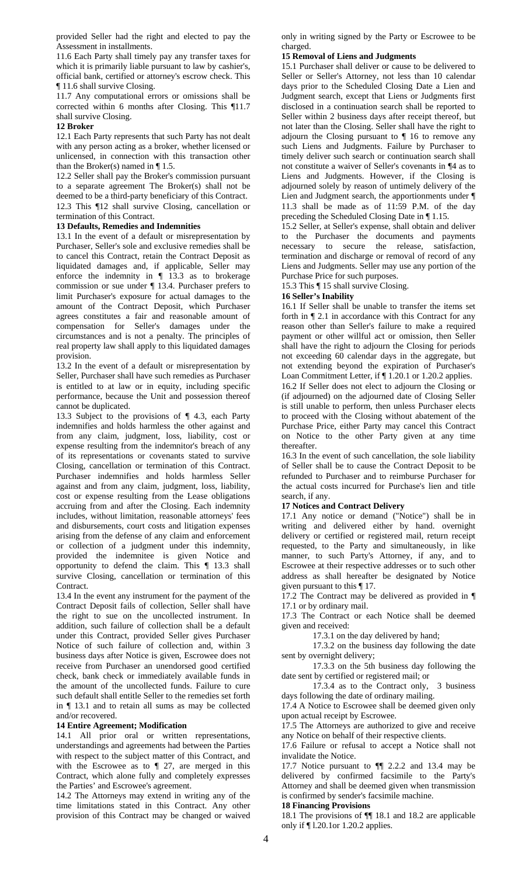provided Seller had the right and elected to pay the Assessment in installments.

11.6 Each Party shall timely pay any transfer taxes for which it is primarily liable pursuant to law by cashier's, official bank, certified or attorney's escrow check. This ¶ 11.6 shall survive Closing.

11.7 Any computational errors or omissions shall be corrected within 6 months after Closing. This ¶11.7 shall survive Closing.

# **12 Broker**

12.1 Each Party represents that such Party has not dealt with any person acting as a broker, whether licensed or unlicensed, in connection with this transaction other than the Broker(s) named in  $\P$  1.5.

12.2 Seller shall pay the Broker's commission pursuant to a separate agreement The Broker(s) shall not be deemed to be a third-party beneficiary of this Contract. 12.3 This ¶12 shall survive Closing, cancellation or termination of this Contract.

# **13 Defaults, Remedies and Indemnities**

13.1 In the event of a default or misrepresentation by Purchaser, Seller's sole and exclusive remedies shall be to cancel this Contract, retain the Contract Deposit as liquidated damages and, if applicable, Seller may enforce the indemnity in ¶ 13.3 as to brokerage commission or sue under ¶ 13.4. Purchaser prefers to limit Purchaser's exposure for actual damages to the amount of the Contract Deposit, which Purchaser agrees constitutes a fair and reasonable amount of compensation for Seller's damages under the circumstances and is not a penalty. The principles of real property law shall apply to this liquidated damages provision.

13.2 In the event of a default or misrepresentation by Seller, Purchaser shall have such remedies as Purchaser is entitled to at law or in equity, including specific performance, because the Unit and possession thereof cannot be duplicated.

13.3 Subject to the provisions of ¶ 4.3, each Party indemnifies and holds harmless the other against and from any claim, judgment, loss, liability, cost or expense resulting from the indemnitor's breach of any of its representations or covenants stated to survive Closing, cancellation or termination of this Contract. Purchaser indemnifies and holds harmless Seller against and from any claim, judgment, loss, liability, cost or expense resulting from the Lease obligations accruing from and after the Closing. Each indemnity includes, without limitation, reasonable attorneys' fees and disbursements, court costs and litigation expenses arising from the defense of any claim and enforcement or collection of a judgment under this indemnity, provided the indemnitee is given Notice and opportunity to defend the claim. This ¶ 13.3 shall survive Closing, cancellation or termination of this **Contract** 

13.4 In the event any instrument for the payment of the Contract Deposit fails of collection, Seller shall have the right to sue on the uncollected instrument. In addition, such failure of collection shall be a default under this Contract, provided Seller gives Purchaser Notice of such failure of collection and, within 3 business days after Notice is given, Escrowee does not receive from Purchaser an unendorsed good certified check, bank check or immediately available funds in the amount of the uncollected funds. Failure to cure such default shall entitle Seller to the remedies set forth in ¶ 13.1 and to retain all sums as may be collected and/or recovered.

### **14 Entire Agreement; Modification**

14.1 All prior oral or written representations, understandings and agreements had between the Parties with respect to the subject matter of this Contract, and with the Escrowee as to  $\P$  27, are merged in this Contract, which alone fully and completely expresses the Parties' and Escrowee's agreement.

14.2 The Attorneys may extend in writing any of the time limitations stated in this Contract. Any other provision of this Contract may be changed or waived

only in writing signed by the Party or Escrowee to be charged.

#### **15 Removal of Liens and Judgments**

15.1 Purchaser shall deliver or cause to be delivered to Seller or Seller's Attorney, not less than 10 calendar days prior to the Scheduled Closing Date a Lien and Judgment search, except that Liens or Judgments first disclosed in a continuation search shall be reported to Seller within 2 business days after receipt thereof, but not later than the Closing. Seller shall have the right to adjourn the Closing pursuant to ¶ 16 to remove any such Liens and Judgments. Failure by Purchaser to timely deliver such search or continuation search shall not constitute a waiver of Seller's covenants in ¶4 as to Liens and Judgments. However, if the Closing is adjourned solely by reason of untimely delivery of the Lien and Judgment search, the apportionments under ¶ 11.3 shall be made as of 11:59 P.M. of the day preceding the Scheduled Closing Date in ¶ 1.15.

15.2 Seller, at Seller's expense, shall obtain and deliver to the Purchaser the documents and payments necessary to secure the release, satisfaction, termination and discharge or removal of record of any Liens and Judgments. Seller may use any portion of the Purchase Price for such purposes.

15.3 This ¶ 15 shall survive Closing.

### **16 Seller's Inability**

16.1 If Seller shall be unable to transfer the items set forth in ¶ 2.1 in accordance with this Contract for any reason other than Seller's failure to make a required payment or other willful act or omission, then Seller shall have the right to adjourn the Closing for periods not exceeding 60 calendar days in the aggregate, but not extending beyond the expiration of Purchaser's Loan Commitment Letter, if ¶ 1.20.1 or 1.20.2 applies.

16.2 If Seller does not elect to adjourn the Closing or (if adjourned) on the adjourned date of Closing Seller is still unable to perform, then unless Purchaser elects to proceed with the Closing without abatement of the Purchase Price, either Party may cancel this Contract on Notice to the other Party given at any time thereafter.

16.3 In the event of such cancellation, the sole liability of Seller shall be to cause the Contract Deposit to be refunded to Purchaser and to reimburse Purchaser for the actual costs incurred for Purchase's lien and title search, if any.

#### **17 Notices and Contract Delivery**

17.1 Any notice or demand ("Notice") shall be in writing and delivered either by hand. overnight delivery or certified or registered mail, return receipt requested, to the Party and simultaneously, in like manner, to such Party's Attorney, if any, and to Escrowee at their respective addresses or to such other address as shall hereafter be designated by Notice given pursuant to this ¶ 17.

17.2 The Contract may be delivered as provided in ¶ 17.1 or by ordinary mail.

17.3 The Contract or each Notice shall be deemed given and received:

17.3.1 on the day delivered by hand;

17.3.2 on the business day following the date sent by overnight delivery;

17.3.3 on the 5th business day following the date sent by certified or registered mail; or

17.3.4 as to the Contract only, 3 business days following the date of ordinary mailing.

17.4 A Notice to Escrowee shall be deemed given only upon actual receipt by Escrowee.

17.5 The Attorneys are authorized to give and receive any Notice on behalf of their respective clients.

17.6 Failure or refusal to accept a Notice shall not invalidate the Notice.

17.7 Notice pursuant to ¶¶ 2.2.2 and 13.4 may be delivered by confirmed facsimile to the Party's Attorney and shall be deemed given when transmission is confirmed by sender's facsimile machine.

# **18 Financing Provisions**

18.1 The provisions of ¶¶ 18.1 and 18.2 are applicable only if ¶ l.20.1or 1.20.2 applies.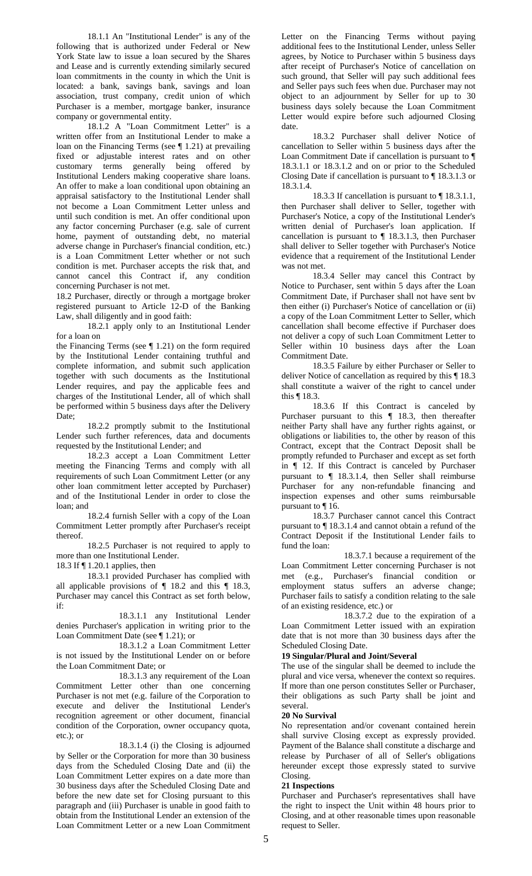18.1.1 An "Institutional Lender" is any of the following that is authorized under Federal or New York State law to issue a loan secured by the Shares and Lease and is currently extending similarly secured loan commitments in the county in which the Unit is located: a bank, savings bank, savings and loan association, trust company, credit union of which Purchaser is a member, mortgage banker, insurance company or governmental entity.

18.1.2 A "Loan Commitment Letter" is a written offer from an Institutional Lender to make a loan on the Financing Terms (see ¶ 1.21) at prevailing fixed or adjustable interest rates and on other customary terms generally being offered by Institutional Lenders making cooperative share loans. An offer to make a loan conditional upon obtaining an appraisal satisfactory to the Institutional Lender shall not become a Loan Commitment Letter unless and until such condition is met. An offer conditional upon any factor concerning Purchaser (e.g. sale of current home, payment of outstanding debt, no material adverse change in Purchaser's financial condition, etc.) is a Loan Commitment Letter whether or not such condition is met. Purchaser accepts the risk that, and cannot cancel this Contract if, any condition concerning Purchaser is not met.

18.2 Purchaser, directly or through a mortgage broker registered pursuant to Article 12-D of the Banking Law, shall diligently and in good faith:

18.2.1 apply only to an Institutional Lender for a loan on

the Financing Terms (see  $\P$  1.21) on the form required by the Institutional Lender containing truthful and complete information, and submit such application together with such documents as the Institutional Lender requires, and pay the applicable fees and charges of the Institutional Lender, all of which shall be performed within 5 business days after the Delivery Date;

18.2.2 promptly submit to the Institutional Lender such further references, data and documents requested by the Institutional Lender; and

18.2.3 accept a Loan Commitment Letter meeting the Financing Terms and comply with all requirements of such Loan Commitment Letter (or any other loan commitment letter accepted by Purchaser) and of the Institutional Lender in order to close the loan; and

18.2.4 furnish Seller with a copy of the Loan Commitment Letter promptly after Purchaser's receipt thereof.

18.2.5 Purchaser is not required to apply to more than one Institutional Lender.

18.3 If ¶ 1.20.1 applies, then

18.3.1 provided Purchaser has complied with all applicable provisions of ¶ 18.2 and this ¶ 18.3, Purchaser may cancel this Contract as set forth below, if:

18.3.1.1 any Institutional Lender denies Purchaser's application in writing prior to the Loan Commitment Date (see ¶ 1.21); or

18.3.1.2 a Loan Commitment Letter is not issued by the Institutional Lender on or before the Loan Commitment Date; or

18.3.1.3 any requirement of the Loan Commitment Letter other than one concerning Purchaser is not met (e.g. failure of the Corporation to execute and deliver the Institutional Lender's recognition agreement or other document, financial condition of the Corporation, owner occupancy quota, etc.); or

18.3.1.4 (i) the Closing is adjourned by Seller or the Corporation for more than 30 business days from the Scheduled Closing Date and (ii) the Loan Commitment Letter expires on a date more than 30 business days after the Scheduled Closing Date and before the new date set for Closing pursuant to this paragraph and (iii) Purchaser is unable in good faith to obtain from the Institutional Lender an extension of the Loan Commitment Letter or a new Loan Commitment

Letter on the Financing Terms without paying additional fees to the Institutional Lender, unless Seller agrees, by Notice to Purchaser within 5 business days after receipt of Purchaser's Notice of cancellation on such ground, that Seller will pay such additional fees and Seller pays such fees when due. Purchaser may not object to an adjournment by Seller for up to 30 business days solely because the Loan Commitment Letter would expire before such adjourned Closing date.

18.3.2 Purchaser shall deliver Notice of cancellation to Seller within 5 business days after the Loan Commitment Date if cancellation is pursuant to ¶ 18.3.1.1 or 18.3.1.2 and on or prior to the Scheduled Closing Date if cancellation is pursuant to ¶ 18.3.1.3 or 18.3.1.4.

18.3.3 If cancellation is pursuant to ¶ 18.3.1.1, then Purchaser shall deliver to Seller, together with Purchaser's Notice, a copy of the Institutional Lender's written denial of Purchaser's loan application. If cancellation is pursuant to  $\P$  18.3.1.3, then Purchaser shall deliver to Seller together with Purchaser's Notice evidence that a requirement of the Institutional Lender was not met.

18.3.4 Seller may cancel this Contract by Notice to Purchaser, sent within 5 days after the Loan Commitment Date, if Purchaser shall not have sent bv then either (i) Purchaser's Notice of cancellation or (ii) a copy of the Loan Commitment Letter to Seller, which cancellation shall become effective if Purchaser does not deliver a copy of such Loan Commitment Letter to Seller within 10 business days after the Loan Commitment Date.

18.3.5 Failure by either Purchaser or Seller to deliver Notice of cancellation as required by this ¶ 18.3 shall constitute a waiver of the right to cancel under this ¶ 18.3.

18.3.6 If this Contract is canceled by Purchaser pursuant to this ¶ 18.3, then thereafter neither Party shall have any further rights against, or obligations or liabilities to, the other by reason of this Contract, except that the Contract Deposit shall be promptly refunded to Purchaser and except as set forth in ¶ 12. If this Contract is canceled by Purchaser pursuant to ¶ 18.3.1.4, then Seller shall reimburse Purchaser for any non-refundable financing and inspection expenses and other sums reimbursable pursuant to ¶ 16.

18.3.7 Purchaser cannot cancel this Contract pursuant to ¶ 18.3.1.4 and cannot obtain a refund of the Contract Deposit if the Institutional Lender fails to fund the loan:

 18.3.7.1 because a requirement of the Loan Commitment Letter concerning Purchaser is not met (e.g., Purchaser's financial condition or employment status suffers an adverse change; Purchaser fails to satisfy a condition relating to the sale of an existing residence, etc.) or

18.3.7.2 due to the expiration of a Loan Commitment Letter issued with an expiration date that is not more than 30 business days after the Scheduled Closing Date.

# **19 Singular/Plural and Joint/Several**

The use of the singular shall be deemed to include the plural and vice versa, whenever the context so requires. If more than one person constitutes Seller or Purchaser, their obligations as such Party shall be joint and several.

# **20 No Survival**

No representation and/or covenant contained herein shall survive Closing except as expressly provided. Payment of the Balance shall constitute a discharge and release by Purchaser of all of Seller's obligations hereunder except those expressly stated to survive Closing.

# **21 Inspections**

Purchaser and Purchaser's representatives shall have the right to inspect the Unit within 48 hours prior to Closing, and at other reasonable times upon reasonable request to Seller.